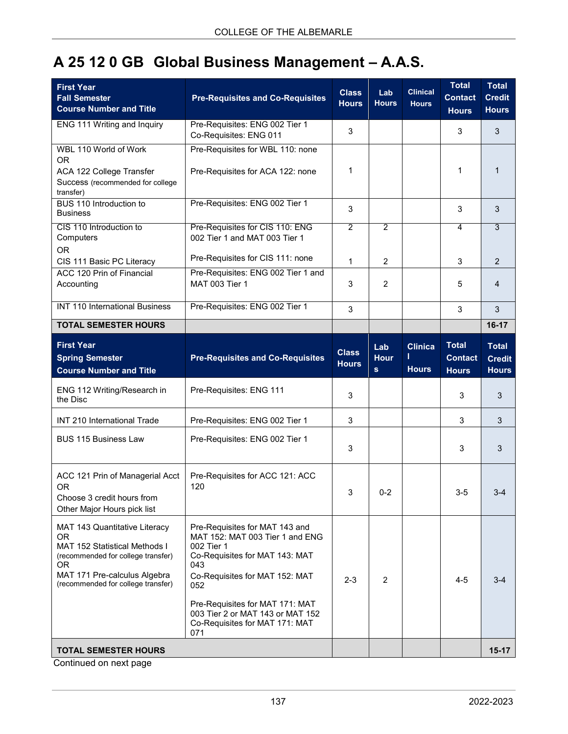## **A 25 12 0 GB Global Business Management – A.A.S.**

| <b>First Year</b><br><b>Fall Semester</b><br><b>Course Number and Title</b>                                                                                                                          | <b>Pre-Requisites and Co-Requisites</b>                                                                                                                           | <b>Class</b><br><b>Hours</b> | Lab<br><b>Hours</b>            | <b>Clinical</b><br><b>Hours</b> | <b>Total</b><br><b>Contact</b><br><b>Hours</b> | <b>Total</b><br><b>Credit</b><br><b>Hours</b> |
|------------------------------------------------------------------------------------------------------------------------------------------------------------------------------------------------------|-------------------------------------------------------------------------------------------------------------------------------------------------------------------|------------------------------|--------------------------------|---------------------------------|------------------------------------------------|-----------------------------------------------|
| ENG 111 Writing and Inquiry                                                                                                                                                                          | Pre-Requisites: ENG 002 Tier 1<br>Co-Requisites: ENG 011                                                                                                          | 3                            |                                |                                 | 3                                              | 3                                             |
| WBL 110 World of Work<br><b>OR</b><br>ACA 122 College Transfer<br>Success (recommended for college<br>transfer)                                                                                      | Pre-Requisites for WBL 110: none<br>Pre-Requisites for ACA 122: none                                                                                              | 1                            |                                |                                 | 1                                              | $\mathbf{1}$                                  |
| BUS 110 Introduction to<br><b>Business</b>                                                                                                                                                           | Pre-Requisites: ENG 002 Tier 1                                                                                                                                    | 3                            |                                |                                 | 3                                              | 3                                             |
| CIS 110 Introduction to<br>Computers<br><b>OR</b>                                                                                                                                                    | Pre-Requisites for CIS 110: ENG<br>002 Tier 1 and MAT 003 Tier 1                                                                                                  | $\overline{2}$               | $\overline{2}$                 |                                 | 4                                              | $\overline{3}$                                |
| CIS 111 Basic PC Literacy                                                                                                                                                                            | Pre-Requisites for CIS 111: none                                                                                                                                  | 1                            | $\overline{2}$                 |                                 | 3                                              | 2                                             |
| ACC 120 Prin of Financial<br>Accounting                                                                                                                                                              | Pre-Requisites: ENG 002 Tier 1 and<br><b>MAT 003 Tier 1</b>                                                                                                       | 3                            | $\overline{2}$                 |                                 | 5                                              | 4                                             |
| <b>INT 110 International Business</b>                                                                                                                                                                | Pre-Requisites: ENG 002 Tier 1                                                                                                                                    | 3                            |                                |                                 | 3                                              | 3                                             |
| <b>TOTAL SEMESTER HOURS</b>                                                                                                                                                                          |                                                                                                                                                                   |                              |                                |                                 |                                                | $16-17$                                       |
| <b>First Year</b><br><b>Spring Semester</b><br><b>Course Number and Title</b>                                                                                                                        | <b>Pre-Requisites and Co-Requisites</b>                                                                                                                           | <b>Class</b><br><b>Hours</b> | Lab<br><b>Hour</b><br><b>s</b> | <b>Clinica</b><br><b>Hours</b>  | <b>Total</b><br><b>Contact</b><br><b>Hours</b> | <b>Total</b><br><b>Credit</b><br><b>Hours</b> |
| ENG 112 Writing/Research in<br>the Disc                                                                                                                                                              | Pre-Requisites: ENG 111                                                                                                                                           | 3                            |                                |                                 | 3                                              | 3                                             |
| INT 210 International Trade                                                                                                                                                                          | Pre-Requisites: ENG 002 Tier 1                                                                                                                                    | 3                            |                                |                                 | 3                                              | 3                                             |
| <b>BUS 115 Business Law</b>                                                                                                                                                                          | Pre-Requisites: ENG 002 Tier 1                                                                                                                                    | 3                            |                                |                                 | 3                                              | 3                                             |
| ACC 121 Prin of Managerial Acct<br><b>OR</b><br>Choose 3 credit hours from<br>Other Major Hours pick list                                                                                            | Pre-Requisites for ACC 121: ACC<br>120                                                                                                                            | 3                            | $0 - 2$                        |                                 | $3-5$                                          |                                               |
| MAT 143 Quantitative Literacy<br><b>OR</b><br><b>MAT 152 Statistical Methods I</b><br>(recommended for college transfer)<br>0R<br>MAT 171 Pre-calculus Algebra<br>(recommended for college transfer) | Pre-Requisites for MAT 143 and<br>MAT 152: MAT 003 Tier 1 and ENG<br>002 Tier 1<br>Co-Requisites for MAT 143: MAT<br>043<br>Co-Requisites for MAT 152: MAT<br>052 | $2 - 3$                      | $\overline{2}$                 |                                 | $4 - 5$                                        | $3-4$                                         |
|                                                                                                                                                                                                      | Pre-Requisites for MAT 171: MAT<br>003 Tier 2 or MAT 143 or MAT 152<br>Co-Requisites for MAT 171: MAT<br>071                                                      |                              |                                |                                 |                                                |                                               |
| <b>TOTAL SEMESTER HOURS</b>                                                                                                                                                                          |                                                                                                                                                                   |                              |                                |                                 |                                                | $15-17$                                       |

Continued on next page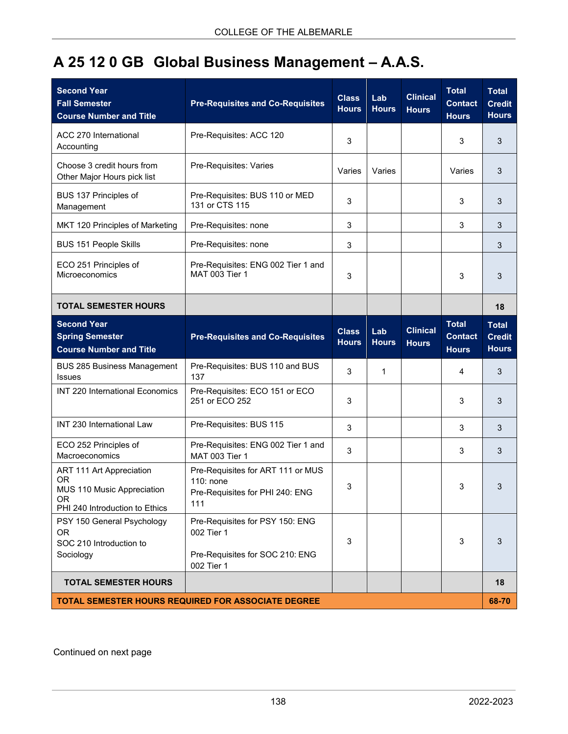## **A 25 12 0 GB Global Business Management – A.A.S.**

| <b>Second Year</b><br><b>Fall Semester</b><br><b>Course Number and Title</b>                                       | <b>Pre-Requisites and Co-Requisites</b>                                                        | <b>Class</b><br><b>Hours</b> | Lab<br><b>Hours</b> | <b>Clinical</b><br><b>Hours</b> | <b>Total</b><br><b>Contact</b><br><b>Hours</b> | <b>Total</b><br><b>Credit</b><br><b>Hours</b> |
|--------------------------------------------------------------------------------------------------------------------|------------------------------------------------------------------------------------------------|------------------------------|---------------------|---------------------------------|------------------------------------------------|-----------------------------------------------|
| <b>ACC 270 International</b><br>Accounting                                                                         | Pre-Requisites: ACC 120                                                                        | 3                            |                     |                                 | 3                                              | 3                                             |
| Choose 3 credit hours from<br>Other Major Hours pick list                                                          | Pre-Requisites: Varies                                                                         | Varies                       | Varies              |                                 | Varies                                         | 3                                             |
| BUS 137 Principles of<br>Management                                                                                | Pre-Requisites: BUS 110 or MED<br>131 or CTS 115                                               | 3                            |                     |                                 | 3                                              | 3                                             |
| MKT 120 Principles of Marketing                                                                                    | Pre-Requisites: none                                                                           | 3                            |                     |                                 | 3                                              | 3                                             |
| <b>BUS 151 People Skills</b>                                                                                       | Pre-Requisites: none                                                                           | 3                            |                     |                                 |                                                | 3                                             |
| ECO 251 Principles of<br>Microeconomics                                                                            | Pre-Requisites: ENG 002 Tier 1 and<br><b>MAT 003 Tier 1</b>                                    | 3                            |                     |                                 | 3                                              | 3                                             |
| <b>TOTAL SEMESTER HOURS</b>                                                                                        |                                                                                                |                              |                     |                                 |                                                | 18                                            |
| <b>Second Year</b><br><b>Spring Semester</b><br><b>Course Number and Title</b>                                     | <b>Pre-Requisites and Co-Requisites</b>                                                        | <b>Class</b><br><b>Hours</b> | Lab<br><b>Hours</b> | <b>Clinical</b><br><b>Hours</b> | <b>Total</b><br><b>Contact</b><br><b>Hours</b> | <b>Total</b><br><b>Credit</b><br><b>Hours</b> |
| <b>BUS 285 Business Management</b><br><b>Issues</b>                                                                | Pre-Requisites: BUS 110 and BUS<br>137                                                         | 3                            | 1                   |                                 | 4                                              | 3                                             |
| INT 220 International Economics                                                                                    | Pre-Requisites: ECO 151 or ECO<br>251 or ECO 252                                               | 3                            |                     |                                 | 3                                              | 3                                             |
| INT 230 International Law                                                                                          | Pre-Requisites: BUS 115                                                                        | 3                            |                     |                                 | 3                                              | 3                                             |
| ECO 252 Principles of<br>Macroeconomics                                                                            | Pre-Requisites: ENG 002 Tier 1 and<br>MAT 003 Tier 1                                           | 3                            |                     |                                 | 3                                              | 3                                             |
| ART 111 Art Appreciation<br><b>OR</b><br>MUS 110 Music Appreciation<br><b>OR</b><br>PHI 240 Introduction to Ethics | Pre-Requisites for ART 111 or MUS<br>110: none<br>Pre-Requisites for PHI 240: ENG<br>111       | 3                            |                     |                                 | 3                                              | 3                                             |
| PSY 150 General Psychology<br><b>OR</b><br>SOC 210 Introduction to<br>Sociology                                    | Pre-Requisites for PSY 150: ENG<br>002 Tier 1<br>Pre-Requisites for SOC 210: ENG<br>002 Tier 1 | 3                            |                     |                                 | 3                                              | 3                                             |
| <b>TOTAL SEMESTER HOURS</b>                                                                                        |                                                                                                |                              |                     |                                 |                                                | 18                                            |
| <b>TOTAL SEMESTER HOURS REQUIRED FOR ASSOCIATE DEGREE</b><br>68-70                                                 |                                                                                                |                              |                     |                                 |                                                |                                               |

Continued on next page